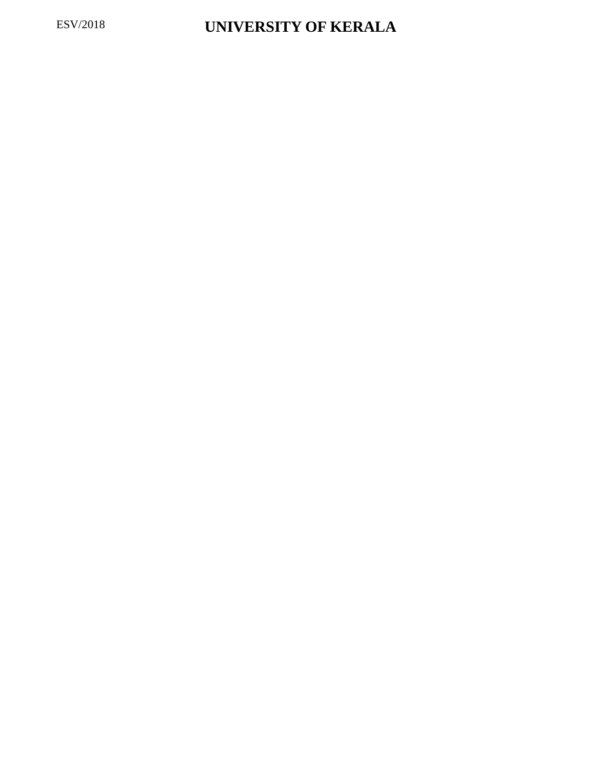## ESV/2018 **UNIVERSITY OF KERALA**